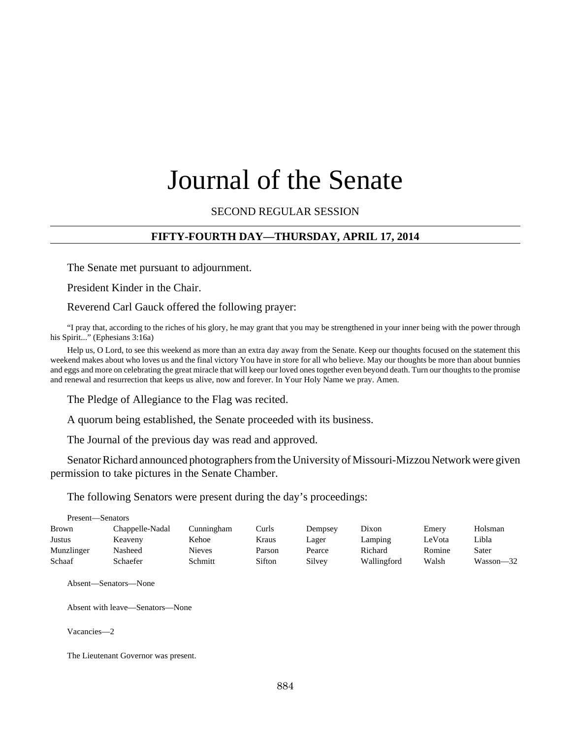# Journal of the Senate

SECOND REGULAR SESSION

## **FIFTY-FOURTH DAY—THURSDAY, APRIL 17, 2014**

The Senate met pursuant to adjournment.

President Kinder in the Chair.

Reverend Carl Gauck offered the following prayer:

"I pray that, according to the riches of his glory, he may grant that you may be strengthened in your inner being with the power through his Spirit..." (Ephesians 3:16a)

Help us, O Lord, to see this weekend as more than an extra day away from the Senate. Keep our thoughts focused on the statement this weekend makes about who loves us and the final victory You have in store for all who believe. May our thoughts be more than about bunnies and eggs and more on celebrating the great miracle that will keep our loved ones together even beyond death. Turn our thoughts to the promise and renewal and resurrection that keeps us alive, now and forever. In Your Holy Name we pray. Amen.

The Pledge of Allegiance to the Flag was recited.

A quorum being established, the Senate proceeded with its business.

The Journal of the previous day was read and approved.

Senator Richard announced photographers from the University of Missouri-Mizzou Network were given permission to take pictures in the Senate Chamber.

The following Senators were present during the day's proceedings:

|               | Present—Senators |            |        |         |             |        |           |  |  |  |  |
|---------------|------------------|------------|--------|---------|-------------|--------|-----------|--|--|--|--|
| <b>Brown</b>  | Chappelle-Nadal  | Cunningham | Curls  | Dempsey | Dixon       | Emery  | Holsman   |  |  |  |  |
| <b>Justus</b> | Keaveny          | Kehoe      | Kraus  | Lager   | Lamping     | LeVota | Libla     |  |  |  |  |
| Munzlinger    | Nasheed          | Nieves     | Parson | Pearce  | Richard     | Romine | Sater     |  |  |  |  |
| Schaaf        | Schaefer         | Schmitt    | Sifton | Silvey  | Wallingford | Walsh  | Wasson—32 |  |  |  |  |

Absent—Senators—None

Absent with leave—Senators—None

Vacancies—2

The Lieutenant Governor was present.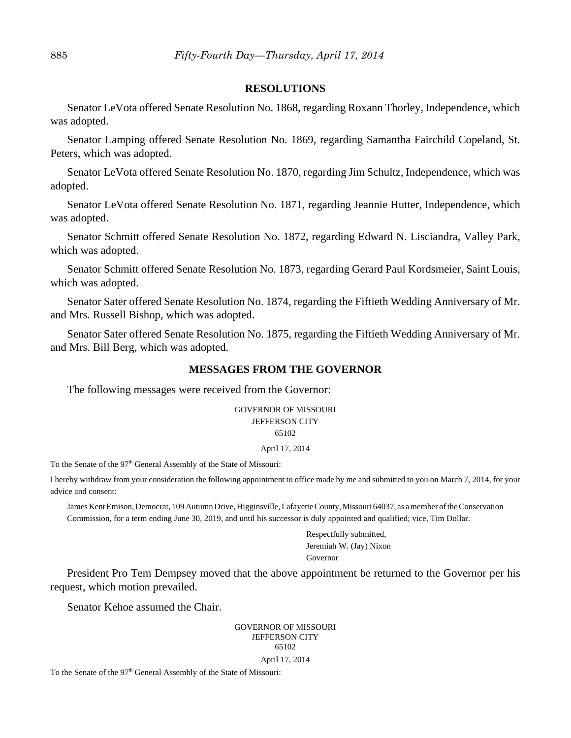#### **RESOLUTIONS**

Senator LeVota offered Senate Resolution No. 1868, regarding Roxann Thorley, Independence, which was adopted.

Senator Lamping offered Senate Resolution No. 1869, regarding Samantha Fairchild Copeland, St. Peters, which was adopted.

Senator LeVota offered Senate Resolution No. 1870, regarding Jim Schultz, Independence, which was adopted.

Senator LeVota offered Senate Resolution No. 1871, regarding Jeannie Hutter, Independence, which was adopted.

Senator Schmitt offered Senate Resolution No. 1872, regarding Edward N. Lisciandra, Valley Park, which was adopted.

Senator Schmitt offered Senate Resolution No. 1873, regarding Gerard Paul Kordsmeier, Saint Louis, which was adopted.

Senator Sater offered Senate Resolution No. 1874, regarding the Fiftieth Wedding Anniversary of Mr. and Mrs. Russell Bishop, which was adopted.

Senator Sater offered Senate Resolution No. 1875, regarding the Fiftieth Wedding Anniversary of Mr. and Mrs. Bill Berg, which was adopted.

#### **MESSAGES FROM THE GOVERNOR**

The following messages were received from the Governor:

GOVERNOR OF MISSOURI JEFFERSON CITY 65102

April 17, 2014

To the Senate of the 97<sup>th</sup> General Assembly of the State of Missouri:

I hereby withdraw from your consideration the following appointment to office made by me and submitted to you on March 7, 2014, for your advice and consent:

James Kent Emison, Democrat, 109 Autumn Drive, Higginsville, Lafayette County, Missouri 64037, as a member of the Conservation Commission, for a term ending June 30, 2019, and until his successor is duly appointed and qualified; vice, Tim Dollar.

> Respectfully submitted, Jeremiah W. (Jay) Nixon Governor

President Pro Tem Dempsey moved that the above appointment be returned to the Governor per his request, which motion prevailed.

Senator Kehoe assumed the Chair.

GOVERNOR OF MISSOURI JEFFERSON CITY 65102

#### April 17, 2014

To the Senate of the 97<sup>th</sup> General Assembly of the State of Missouri: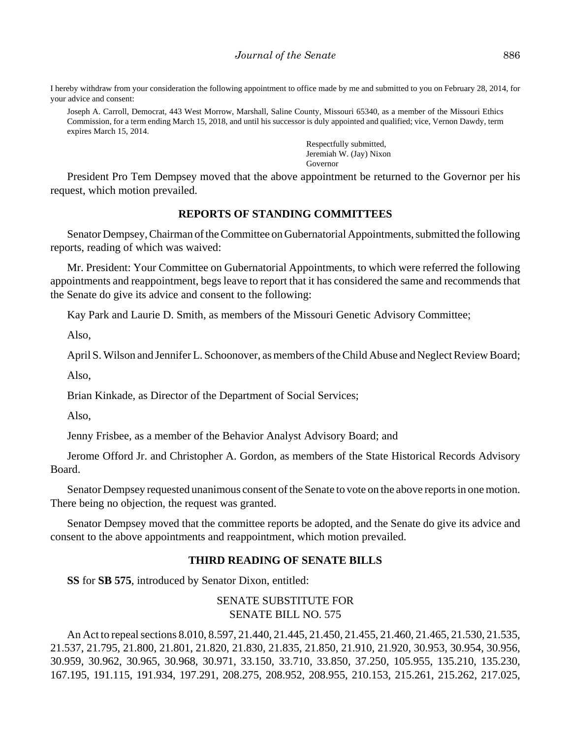I hereby withdraw from your consideration the following appointment to office made by me and submitted to you on February 28, 2014, for your advice and consent:

Joseph A. Carroll, Democrat, 443 West Morrow, Marshall, Saline County, Missouri 65340, as a member of the Missouri Ethics Commission, for a term ending March 15, 2018, and until his successor is duly appointed and qualified; vice, Vernon Dawdy, term expires March 15, 2014.

> Respectfully submitted, Jeremiah W. (Jay) Nixon Governor

President Pro Tem Dempsey moved that the above appointment be returned to the Governor per his request, which motion prevailed.

## **REPORTS OF STANDING COMMITTEES**

Senator Dempsey, Chairman of the Committee on Gubernatorial Appointments, submitted the following reports, reading of which was waived:

Mr. President: Your Committee on Gubernatorial Appointments, to which were referred the following appointments and reappointment, begs leave to report that it has considered the same and recommends that the Senate do give its advice and consent to the following:

Kay Park and Laurie D. Smith, as members of the Missouri Genetic Advisory Committee;

Also,

April S. Wilson and Jennifer L. Schoonover, as members of the Child Abuse and Neglect Review Board;

Also,

Brian Kinkade, as Director of the Department of Social Services;

Also,

Jenny Frisbee, as a member of the Behavior Analyst Advisory Board; and

Jerome Offord Jr. and Christopher A. Gordon, as members of the State Historical Records Advisory Board.

Senator Dempsey requested unanimous consent of the Senate to vote on the above reports in one motion. There being no objection, the request was granted.

Senator Dempsey moved that the committee reports be adopted, and the Senate do give its advice and consent to the above appointments and reappointment, which motion prevailed.

#### **THIRD READING OF SENATE BILLS**

**SS** for **SB 575**, introduced by Senator Dixon, entitled:

SENATE SUBSTITUTE FOR SENATE BILL NO. 575

An Act to repeal sections 8.010, 8.597, 21.440, 21.445, 21.450, 21.455, 21.460, 21.465, 21.530, 21.535, 21.537, 21.795, 21.800, 21.801, 21.820, 21.830, 21.835, 21.850, 21.910, 21.920, 30.953, 30.954, 30.956, 30.959, 30.962, 30.965, 30.968, 30.971, 33.150, 33.710, 33.850, 37.250, 105.955, 135.210, 135.230, 167.195, 191.115, 191.934, 197.291, 208.275, 208.952, 208.955, 210.153, 215.261, 215.262, 217.025,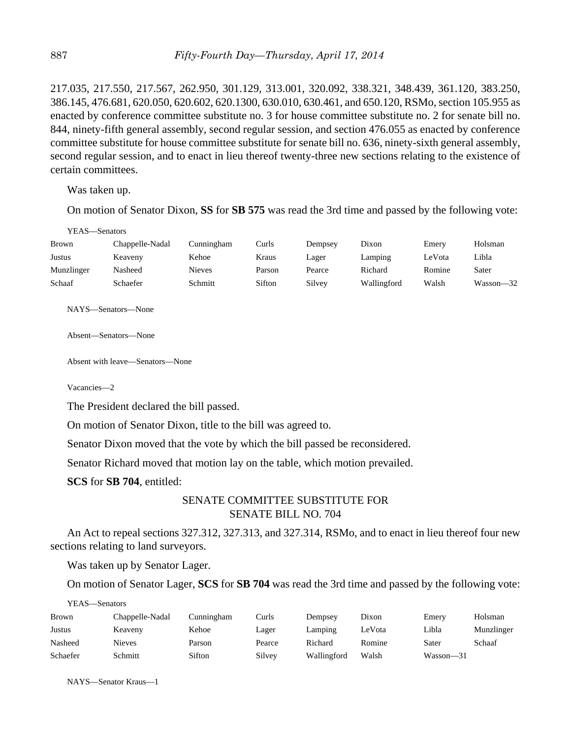217.035, 217.550, 217.567, 262.950, 301.129, 313.001, 320.092, 338.321, 348.439, 361.120, 383.250, 386.145, 476.681, 620.050, 620.602, 620.1300, 630.010, 630.461, and 650.120, RSMo, section 105.955 as enacted by conference committee substitute no. 3 for house committee substitute no. 2 for senate bill no. 844, ninety-fifth general assembly, second regular session, and section 476.055 as enacted by conference committee substitute for house committee substitute for senate bill no. 636, ninety-sixth general assembly, second regular session, and to enact in lieu thereof twenty-three new sections relating to the existence of certain committees.

Was taken up.

On motion of Senator Dixon, **SS** for **SB 575** was read the 3rd time and passed by the following vote:

YEAS—Senators

| <b>Brown</b> | Chappelle-Nadal | Cunningham | Curls  | Dempsey | Dixon       | Emery  | Holsman   |
|--------------|-----------------|------------|--------|---------|-------------|--------|-----------|
| Justus       | Keaveny         | Kehoe      | Kraus  | Lager   | Lamping     | LeVota | Libla     |
| Munzlinger   | Nasheed         | Nieves     | Parson | Pearce  | Richard     | Romine | Sater     |
| Schaaf       | Schaefer        | Schmitt    | Sifton | Silvey  | Wallingford | Walsh  | Wasson-32 |

NAYS—Senators—None

Absent—Senators—None

Absent with leave—Senators—None

Vacancies—2

The President declared the bill passed.

On motion of Senator Dixon, title to the bill was agreed to.

Senator Dixon moved that the vote by which the bill passed be reconsidered.

Senator Richard moved that motion lay on the table, which motion prevailed.

**SCS** for **SB 704**, entitled:

## SENATE COMMITTEE SUBSTITUTE FOR SENATE BILL NO. 704

An Act to repeal sections 327.312, 327.313, and 327.314, RSMo, and to enact in lieu thereof four new sections relating to land surveyors.

Was taken up by Senator Lager.

On motion of Senator Lager, **SCS** for **SB 704** was read the 3rd time and passed by the following vote:

| Brown    | Chappelle-Nadal | Cunningham | Curls  | Dempsey     | Dixon  | Emery     | Holsman    |
|----------|-----------------|------------|--------|-------------|--------|-----------|------------|
| Justus   | Keaveny         | Kehoe      | Lager  | Lamping     | LeVota | Libla     | Munzlinger |
| Nasheed  | Nieves          | Parson     | Pearce | Richard     | Romine | Sater     | Schaaf     |
| Schaefer | Schmitt         | Sifton     | Silvey | Wallingford | Walsh  | Wasson-31 |            |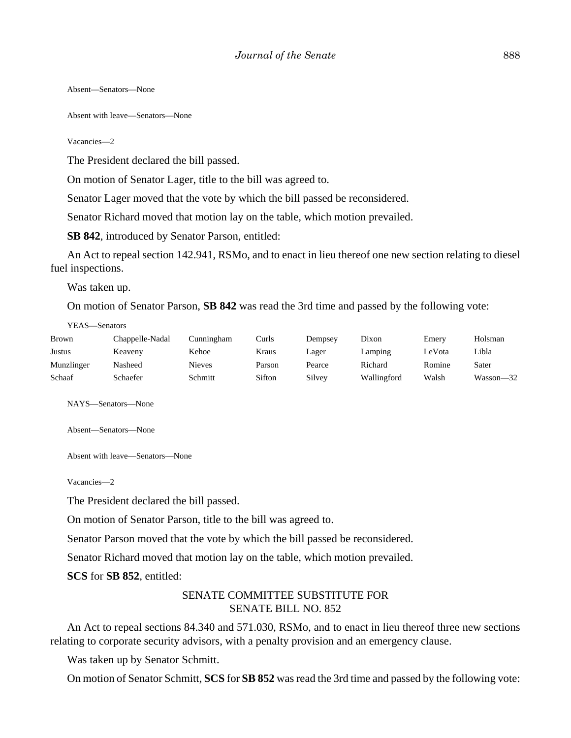Absent—Senators—None

Absent with leave—Senators—None

Vacancies—2

The President declared the bill passed.

On motion of Senator Lager, title to the bill was agreed to.

Senator Lager moved that the vote by which the bill passed be reconsidered.

Senator Richard moved that motion lay on the table, which motion prevailed.

**SB 842**, introduced by Senator Parson, entitled:

An Act to repeal section 142.941, RSMo, and to enact in lieu thereof one new section relating to diesel fuel inspections.

Was taken up.

On motion of Senator Parson, **SB 842** was read the 3rd time and passed by the following vote:

YEAS—Senators

| <b>Brown</b> | Chappelle-Nadal | Cunningham    | Curls  | Dempsey | Dixon       | Emery  | Holsman   |
|--------------|-----------------|---------------|--------|---------|-------------|--------|-----------|
| Justus       | Keaveny         | Kehoe         | Kraus  | Lager   | Lamping     | LeVota | Libla     |
| Munzlinger   | Nasheed         | <b>Nieves</b> | Parson | Pearce  | Richard     | Romine | Sater     |
| Schaaf       | Schaefer        | Schmitt       | Sifton | Silvey  | Wallingford | Walsh  | Wasson-32 |

NAYS—Senators—None

Absent—Senators—None

Absent with leave—Senators—None

Vacancies—2

The President declared the bill passed.

On motion of Senator Parson, title to the bill was agreed to.

Senator Parson moved that the vote by which the bill passed be reconsidered.

Senator Richard moved that motion lay on the table, which motion prevailed.

**SCS** for **SB 852**, entitled:

## SENATE COMMITTEE SUBSTITUTE FOR SENATE BILL NO. 852

An Act to repeal sections 84.340 and 571.030, RSMo, and to enact in lieu thereof three new sections relating to corporate security advisors, with a penalty provision and an emergency clause.

Was taken up by Senator Schmitt.

On motion of Senator Schmitt, **SCS** for **SB 852** was read the 3rd time and passed by the following vote: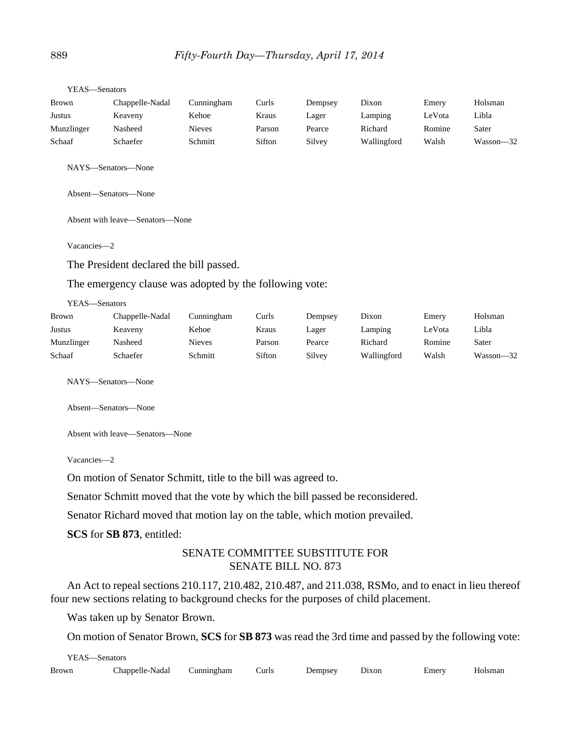| <b>Brown</b>  | Chappelle-Nadal                                         | Cunningham    | Curls  | Dempsey | Dixon       | Emery  | Holsman       |
|---------------|---------------------------------------------------------|---------------|--------|---------|-------------|--------|---------------|
| <b>Justus</b> | Keaveny                                                 | Kehoe         | Kraus  | Lager   | Lamping     | LeVota | Libla         |
| Munzlinger    | Nasheed                                                 | <b>Nieves</b> | Parson | Pearce  | Richard     | Romine | Sater         |
| Schaaf        | Schaefer                                                | Schmitt       | Sifton | Silvey  | Wallingford | Walsh  | Wasson-32     |
|               | NAYS-Senators-None                                      |               |        |         |             |        |               |
|               | Absent-Senators-None                                    |               |        |         |             |        |               |
|               | Absent with leave—Senators—None                         |               |        |         |             |        |               |
| Vacancies-2   |                                                         |               |        |         |             |        |               |
|               | The President declared the bill passed.                 |               |        |         |             |        |               |
|               | The emergency clause was adopted by the following vote: |               |        |         |             |        |               |
| YEAS-Senators |                                                         |               |        |         |             |        |               |
| <b>Brown</b>  | Chappelle-Nadal                                         | Cunningham    | Curls  | Dempsey | Dixon       | Emery  | Holsman       |
| Justus        | Keaveny                                                 | Kehoe         | Kraus  | Lager   | Lamping     | LeVota | Libla         |
| Munzlinger    | Nasheed                                                 | <b>Nieves</b> | Parson | Pearce  | Richard     | Romine | Sater         |
| Schaaf        | Schaefer                                                | Schmitt       | Sifton | Silvey  | Wallingford | Walsh  | $Wasson - 32$ |
|               | NAYS-Senators-None                                      |               |        |         |             |        |               |

YEAS—Senators

Absent—Senators—None

Absent with leave—Senators—None

Vacancies—2

On motion of Senator Schmitt, title to the bill was agreed to.

Senator Schmitt moved that the vote by which the bill passed be reconsidered.

Senator Richard moved that motion lay on the table, which motion prevailed.

**SCS** for **SB 873**, entitled:

## SENATE COMMITTEE SUBSTITUTE FOR SENATE BILL NO. 873

An Act to repeal sections 210.117, 210.482, 210.487, and 211.038, RSMo, and to enact in lieu thereof four new sections relating to background checks for the purposes of child placement.

Was taken up by Senator Brown.

On motion of Senator Brown, **SCS** for **SB 873** was read the 3rd time and passed by the following vote:

| YEAS—Senators |                                          |  |  |  |       |       |         |  |
|---------------|------------------------------------------|--|--|--|-------|-------|---------|--|
| Brown         | Chappelle-Nadal Cunningham Curls Dempsey |  |  |  | Dixon | Emery | Holsman |  |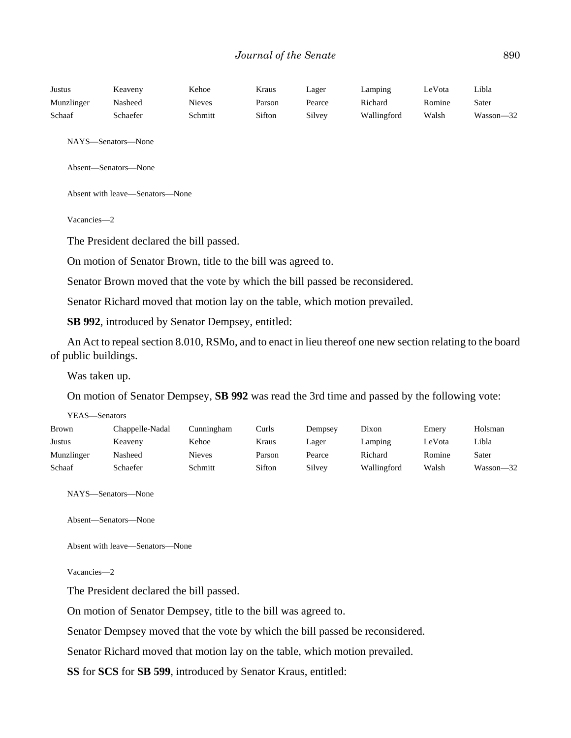| Justus     | Keaveny  | Kehoe   | Kraus  | Lager  | Lampıng     | LeVota | Libla         |
|------------|----------|---------|--------|--------|-------------|--------|---------------|
| Munzlinger | Nasheed  | Nieves  | Parson | Pearce | Richard     | Romine | Sater         |
| Schaaf     | Schaefer | Schmitt | Sifton | Silvey | Wallingford | Walsh  | $Wasson - 32$ |

NAYS—Senators—None

Absent—Senators—None

Absent with leave—Senators—None

Vacancies—2

The President declared the bill passed.

On motion of Senator Brown, title to the bill was agreed to.

Senator Brown moved that the vote by which the bill passed be reconsidered.

Senator Richard moved that motion lay on the table, which motion prevailed.

**SB 992**, introduced by Senator Dempsey, entitled:

An Act to repeal section 8.010, RSMo, and to enact in lieu thereof one new section relating to the board of public buildings.

Was taken up.

On motion of Senator Dempsey, **SB 992** was read the 3rd time and passed by the following vote:

YEAS—Senators

| Brown      | Chappelle-Nadal | Cunningham    | Curls  | Dempsey | Dixon       | Emery  | Holsman   |
|------------|-----------------|---------------|--------|---------|-------------|--------|-----------|
| Justus     | Keaveny         | Kehoe         | Kraus  | Lager   | Lamping     | LeVota | Libla     |
| Munzlinger | Nasheed         | <b>Nieves</b> | Parson | Pearce  | Richard     | Romine | Sater     |
| Schaaf     | Schaefer        | Schmitt       | Sifton | Silvey  | Wallingford | Walsh  | Wasson-32 |

NAYS—Senators—None

Absent—Senators—None

Absent with leave—Senators—None

Vacancies—2

The President declared the bill passed.

On motion of Senator Dempsey, title to the bill was agreed to.

Senator Dempsey moved that the vote by which the bill passed be reconsidered.

Senator Richard moved that motion lay on the table, which motion prevailed.

**SS** for **SCS** for **SB 599**, introduced by Senator Kraus, entitled: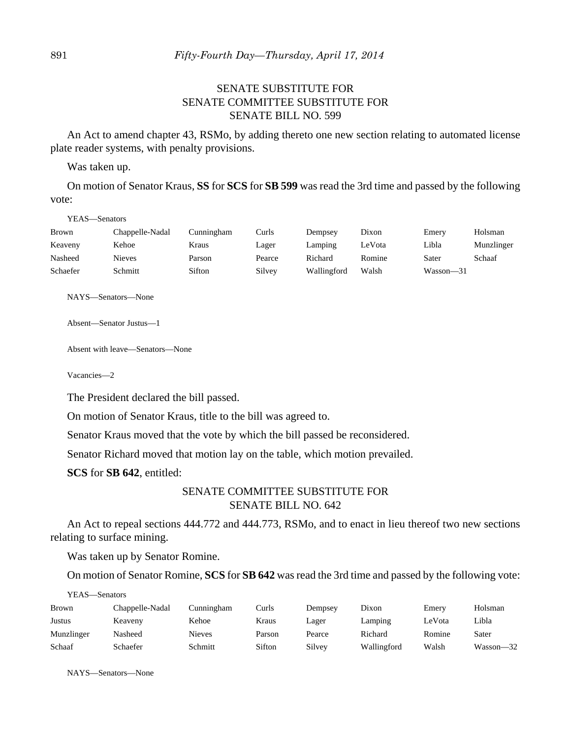# SENATE SUBSTITUTE FOR SENATE COMMITTEE SUBSTITUTE FOR SENATE BILL NO. 599

An Act to amend chapter 43, RSMo, by adding thereto one new section relating to automated license plate reader systems, with penalty provisions.

Was taken up.

On motion of Senator Kraus, **SS** for **SCS** for **SB 599** was read the 3rd time and passed by the following vote:

YEAS—Senators

| Brown    | Chappelle-Nadal | Cunningham | Curls  | Dempsev     | Dixon  | Emery     | Holsman    |
|----------|-----------------|------------|--------|-------------|--------|-----------|------------|
| Keaveny  | Kehoe           | Kraus      | Lager  | Lampıng     | LeVota | Libla     | Munzlinger |
| Nasheed  | <b>Nieves</b>   | Parson     | Pearce | Richard     | Romine | Sater     | Schaaf     |
| Schaefer | Schmitt         | Sifton     | Silvey | Wallingford | Walsh  | Wasson—31 |            |

NAYS—Senators—None

Absent—Senator Justus—1

Absent with leave—Senators—None

Vacancies—2

The President declared the bill passed.

On motion of Senator Kraus, title to the bill was agreed to.

Senator Kraus moved that the vote by which the bill passed be reconsidered.

Senator Richard moved that motion lay on the table, which motion prevailed.

**SCS** for **SB 642**, entitled:

## SENATE COMMITTEE SUBSTITUTE FOR SENATE BILL NO. 642

An Act to repeal sections 444.772 and 444.773, RSMo, and to enact in lieu thereof two new sections relating to surface mining.

Was taken up by Senator Romine.

On motion of Senator Romine, **SCS** for **SB 642** was read the 3rd time and passed by the following vote:

| YEAS—Senators |                 |               |        |         |             |        |               |  |  |  |
|---------------|-----------------|---------------|--------|---------|-------------|--------|---------------|--|--|--|
| <b>Brown</b>  | Chappelle-Nadal | Cunningham    | Curls  | Dempsey | Dixon       | Emery  | Holsman       |  |  |  |
| <b>Justus</b> | Keaveny         | Kehoe         | Kraus  | Lager   | Lamping     | LeVota | Libla         |  |  |  |
| Munzlinger    | Nasheed         | <b>Nieves</b> | Parson | Pearce  | Richard     | Romine | Sater         |  |  |  |
| Schaaf        | Schaefer        | Schmitt       | Sifton | Silvey  | Wallingford | Walsh  | $Wasson - 32$ |  |  |  |

NAYS—Senators—None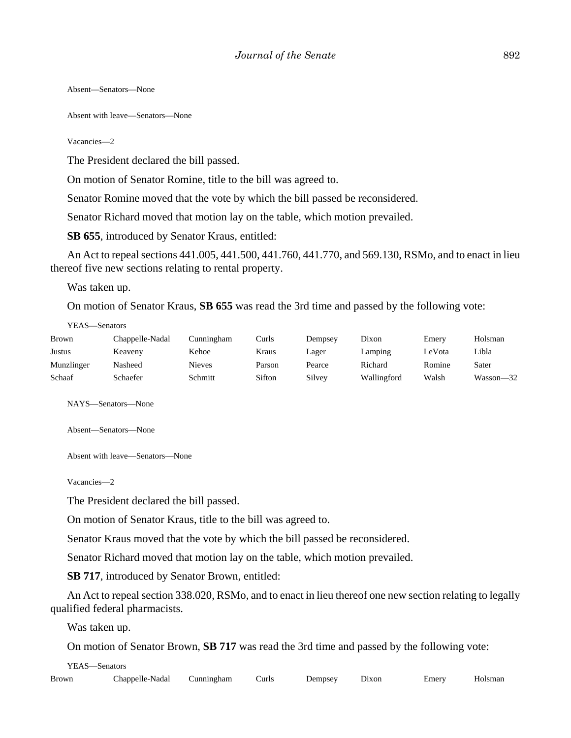Absent—Senators—None

Absent with leave—Senators—None

Vacancies—2

The President declared the bill passed.

On motion of Senator Romine, title to the bill was agreed to.

Senator Romine moved that the vote by which the bill passed be reconsidered.

Senator Richard moved that motion lay on the table, which motion prevailed.

**SB 655**, introduced by Senator Kraus, entitled:

An Act to repeal sections 441.005, 441.500, 441.760, 441.770, and 569.130, RSMo, and to enact in lieu thereof five new sections relating to rental property.

Was taken up.

On motion of Senator Kraus, **SB 655** was read the 3rd time and passed by the following vote:

YEAS—Senators

| <b>Brown</b>  | Chappelle-Nadal | Cunningham | Curls  | Dempsey | Dixon       | Emery  | Holsman   |
|---------------|-----------------|------------|--------|---------|-------------|--------|-----------|
| <b>Justus</b> | Keaveny         | Kehoe      | Kraus  | Lager   | Lamping     | LeVota | Libla     |
| Munzlinger    | Nasheed         | Nieves     | Parson | Pearce  | Richard     | Romine | Sater     |
| Schaaf        | Schaefer        | Schmitt    | Sifton | Silvey  | Wallingford | Walsh  | Wasson-32 |

NAYS—Senators—None

Absent—Senators—None

Absent with leave—Senators—None

Vacancies—2

The President declared the bill passed.

On motion of Senator Kraus, title to the bill was agreed to.

Senator Kraus moved that the vote by which the bill passed be reconsidered.

Senator Richard moved that motion lay on the table, which motion prevailed.

**SB 717**, introduced by Senator Brown, entitled:

An Act to repeal section 338.020, RSMo, and to enact in lieu thereof one new section relating to legally qualified federal pharmacists.

Was taken up.

On motion of Senator Brown, **SB 717** was read the 3rd time and passed by the following vote:

YEAS—Senators

| Chappelle-Nadal<br>Brown<br>Cunningham | ∖urls | Dempsey<br>______ | Dixon | Emerv | Holsman |
|----------------------------------------|-------|-------------------|-------|-------|---------|
|----------------------------------------|-------|-------------------|-------|-------|---------|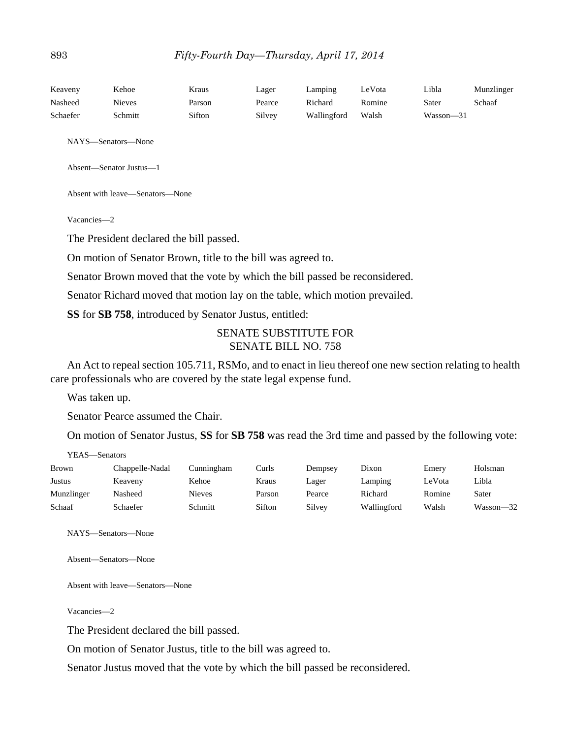| Keaveny  | Kehoe         | Kraus  | Lager  | Lamping     | LeVota | Libla         | Munzlinger |
|----------|---------------|--------|--------|-------------|--------|---------------|------------|
| Nasheed  | <b>Nieves</b> | Parson | Pearce | Richard     | Romine | Sater         | Schaaf     |
| Schaefer | Schmitt       | Sifton | Silvey | Wallingford | Walsh  | $Wasson - 31$ |            |

NAYS—Senators—None

Absent—Senator Justus—1

Absent with leave—Senators—None

Vacancies—2

The President declared the bill passed.

On motion of Senator Brown, title to the bill was agreed to.

Senator Brown moved that the vote by which the bill passed be reconsidered.

Senator Richard moved that motion lay on the table, which motion prevailed.

**SS** for **SB 758**, introduced by Senator Justus, entitled:

## SENATE SUBSTITUTE FOR SENATE BILL NO. 758

An Act to repeal section 105.711, RSMo, and to enact in lieu thereof one new section relating to health care professionals who are covered by the state legal expense fund.

Was taken up.

Senator Pearce assumed the Chair.

On motion of Senator Justus, **SS** for **SB 758** was read the 3rd time and passed by the following vote:

YEAS—Senators

| <b>Brown</b> | Chappelle-Nadal | Cunningham    | Curls  | Dempsey | Dixon       | Emery  | Holsman   |
|--------------|-----------------|---------------|--------|---------|-------------|--------|-----------|
| Justus       | Keaveny         | Kehoe         | Kraus  | Lager   | Lamping     | LeVota | Libla     |
| Munzlinger   | Nasheed         | <b>Nieves</b> | Parson | Pearce  | Richard     | Romine | Sater     |
| Schaaf       | Schaefer        | Schmitt       | Sifton | Silvey  | Wallingford | Walsh  | Wasson-32 |

NAYS—Senators—None

Absent—Senators—None

Absent with leave—Senators—None

Vacancies—2

The President declared the bill passed.

On motion of Senator Justus, title to the bill was agreed to.

Senator Justus moved that the vote by which the bill passed be reconsidered.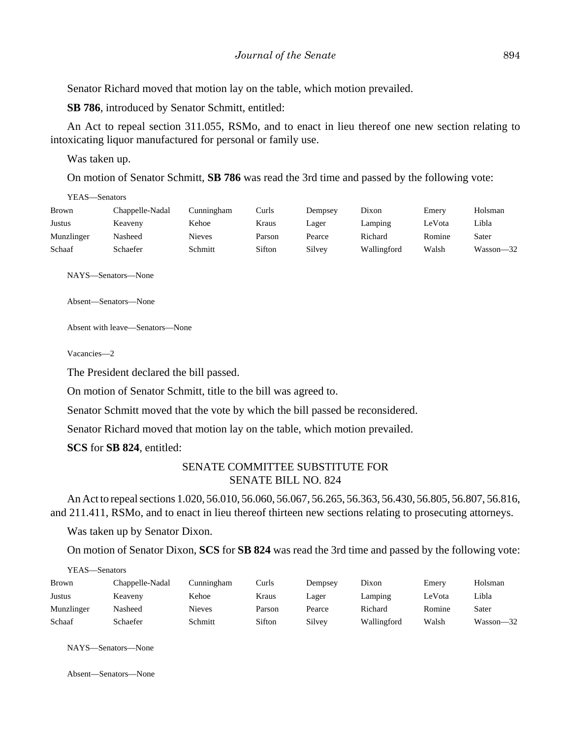Senator Richard moved that motion lay on the table, which motion prevailed.

**SB 786**, introduced by Senator Schmitt, entitled:

An Act to repeal section 311.055, RSMo, and to enact in lieu thereof one new section relating to intoxicating liquor manufactured for personal or family use.

Was taken up.

On motion of Senator Schmitt, **SB 786** was read the 3rd time and passed by the following vote:

YEAS—Senators

| <b>Brown</b>  | Chappelle-Nadal | Cunningham | Curls  | Dempsey | Dixon       | Emery  | Holsman   |
|---------------|-----------------|------------|--------|---------|-------------|--------|-----------|
| <b>Justus</b> | Keaveny         | Kehoe      | Kraus  | Lager   | Lamping     | LeVota | Libla     |
| Munzlinger    | Nasheed         | Nieves     | Parson | Pearce  | Richard     | Romine | Sater     |
| Schaaf        | Schaefer        | Schmitt    | Sifton | Silvey  | Wallingford | Walsh  | Wasson-32 |

NAYS—Senators—None

Absent—Senators—None

Absent with leave—Senators—None

Vacancies—2

The President declared the bill passed.

On motion of Senator Schmitt, title to the bill was agreed to.

Senator Schmitt moved that the vote by which the bill passed be reconsidered.

Senator Richard moved that motion lay on the table, which motion prevailed.

**SCS** for **SB 824**, entitled:

## SENATE COMMITTEE SUBSTITUTE FOR SENATE BILL NO. 824

An Act to repeal sections 1.020, 56.010, 56.060, 56.067, 56.265, 56.363, 56.430, 56.805, 56.807, 56.816, and 211.411, RSMo, and to enact in lieu thereof thirteen new sections relating to prosecuting attorneys.

Was taken up by Senator Dixon.

On motion of Senator Dixon, **SCS** for **SB 824** was read the 3rd time and passed by the following vote:

| YEAS—Senators |                 |               |        |         |             |        |           |
|---------------|-----------------|---------------|--------|---------|-------------|--------|-----------|
| <b>Brown</b>  | Chappelle-Nadal | Cunningham    | Curls  | Dempsey | Dixon       | Emery  | Holsman   |
| Justus        | Keaveny         | Kehoe         | Kraus  | Lager   | Lamping     | LeVota | Libla     |
| Munzlinger    | Nasheed         | <b>Nieves</b> | Parson | Pearce  | Richard     | Romine | Sater     |
| Schaaf        | Schaefer        | Schmitt       | Sifton | Silvey  | Wallingford | Walsh  | Wasson—32 |

NAYS—Senators—None

Absent—Senators—None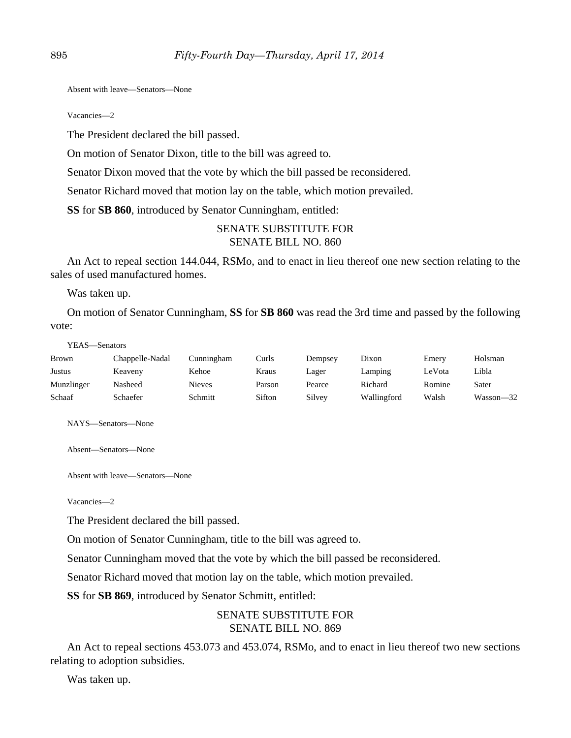Absent with leave—Senators—None

Vacancies—2

The President declared the bill passed.

On motion of Senator Dixon, title to the bill was agreed to.

Senator Dixon moved that the vote by which the bill passed be reconsidered.

Senator Richard moved that motion lay on the table, which motion prevailed.

**SS** for **SB 860**, introduced by Senator Cunningham, entitled:

## SENATE SUBSTITUTE FOR SENATE BILL NO. 860

An Act to repeal section 144.044, RSMo, and to enact in lieu thereof one new section relating to the sales of used manufactured homes.

Was taken up.

On motion of Senator Cunningham, **SS** for **SB 860** was read the 3rd time and passed by the following vote:

YEAS—Senators

| Brown      | Chappelle-Nadal | Cunningham    | Curls  | Dempsey | Dixon       | Emery  | Holsman   |
|------------|-----------------|---------------|--------|---------|-------------|--------|-----------|
| Justus     | Keaveny         | Kehoe         | Kraus  | Lager   | Lamping     | LeVota | Libla     |
| Munzlinger | Nasheed         | <b>Nieves</b> | Parson | Pearce  | Richard     | Romine | Sater     |
| Schaaf     | Schaefer        | Schmitt       | Sifton | Silvey  | Wallingford | Walsh  | Wasson-32 |

NAYS—Senators—None

Absent—Senators—None

Absent with leave—Senators—None

Vacancies—2

The President declared the bill passed.

On motion of Senator Cunningham, title to the bill was agreed to.

Senator Cunningham moved that the vote by which the bill passed be reconsidered.

Senator Richard moved that motion lay on the table, which motion prevailed.

**SS** for **SB 869**, introduced by Senator Schmitt, entitled:

## SENATE SUBSTITUTE FOR SENATE BILL NO. 869

An Act to repeal sections 453.073 and 453.074, RSMo, and to enact in lieu thereof two new sections relating to adoption subsidies.

Was taken up.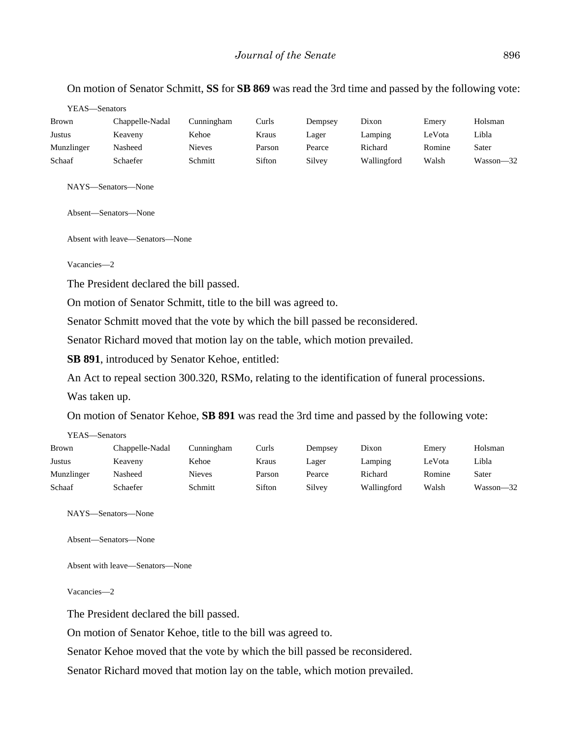## On motion of Senator Schmitt, **SS** for **SB 869** was read the 3rd time and passed by the following vote:

| <b>Brown</b> | Chappelle-Nadal | Cunningham    | Curls  | Dempsey | Dixon       | Emery  | Holsman   |
|--------------|-----------------|---------------|--------|---------|-------------|--------|-----------|
| Justus       | Keaveny         | Kehoe         | Kraus  | Lager   | Lamping     | LeVota | Libla     |
| Munzlinger   | Nasheed         | <b>Nieves</b> | Parson | Pearce  | Richard     | Romine | Sater     |
| Schaaf       | Schaefer        | Schmitt       | Sifton | Silvey  | Wallingford | Walsh  | Wasson-32 |

NAYS—Senators—None

Absent—Senators—None

Absent with leave—Senators—None

Vacancies—2

The President declared the bill passed.

On motion of Senator Schmitt, title to the bill was agreed to.

Senator Schmitt moved that the vote by which the bill passed be reconsidered.

Senator Richard moved that motion lay on the table, which motion prevailed.

**SB 891**, introduced by Senator Kehoe, entitled:

An Act to repeal section 300.320, RSMo, relating to the identification of funeral processions.

Was taken up.

 $VEAC$  Canators

On motion of Senator Kehoe, **SB 891** was read the 3rd time and passed by the following vote:

| .            | ,,,,,,,,,,,,,,, |               |        |         |             |        |               |
|--------------|-----------------|---------------|--------|---------|-------------|--------|---------------|
| <b>Brown</b> | Chappelle-Nadal | Cunningham    | Curls  | Dempsey | Dixon       | Emery  | Holsman       |
| Justus       | Keaveny         | Kehoe         | Kraus  | Lager   | Lamping     | LeVota | Libla         |
| Munzlinger   | Nasheed         | <b>Nieves</b> | Parson | Pearce  | Richard     | Romine | Sater         |
| Schaaf       | Schaefer        | Schmitt       | Sifton | Silvey  | Wallingford | Walsh  | $Wasson - 32$ |

NAYS—Senators—None

Absent—Senators—None

Absent with leave—Senators—None

Vacancies—2

The President declared the bill passed.

On motion of Senator Kehoe, title to the bill was agreed to.

Senator Kehoe moved that the vote by which the bill passed be reconsidered.

Senator Richard moved that motion lay on the table, which motion prevailed.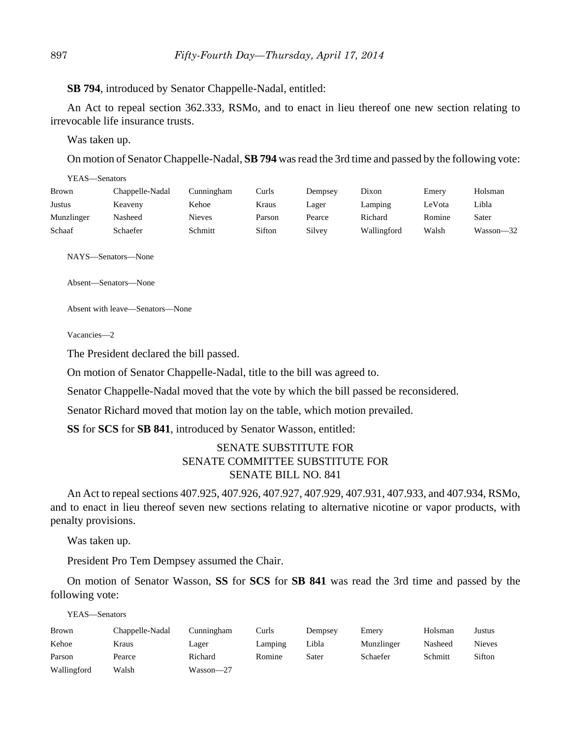**SB 794**, introduced by Senator Chappelle-Nadal, entitled:

An Act to repeal section 362.333, RSMo, and to enact in lieu thereof one new section relating to irrevocable life insurance trusts.

Was taken up.

On motion of Senator Chappelle-Nadal, **SB 794** was read the 3rd time and passed by the following vote:

| YEAS—Senators |                 |               |        |         |             |        |           |
|---------------|-----------------|---------------|--------|---------|-------------|--------|-----------|
| Brown         | Chappelle-Nadal | Cunningham    | Curls  | Dempsey | Dixon       | Emery  | Holsman   |
| Justus        | Keaveny         | Kehoe         | Kraus  | Lager   | Lamping     | LeVota | Libla     |
| Munzlinger    | Nasheed         | <b>Nieves</b> | Parson | Pearce  | Richard     | Romine | Sater     |
| Schaaf        | Schaefer        | Schmitt       | Sifton | Silvey  | Wallingford | Walsh  | Wasson-32 |

NAYS—Senators—None

Absent—Senators—None

Absent with leave—Senators—None

Vacancies—2

The President declared the bill passed.

On motion of Senator Chappelle-Nadal, title to the bill was agreed to.

Senator Chappelle-Nadal moved that the vote by which the bill passed be reconsidered.

Senator Richard moved that motion lay on the table, which motion prevailed.

**SS** for **SCS** for **SB 841**, introduced by Senator Wasson, entitled:

## SENATE SUBSTITUTE FOR SENATE COMMITTEE SUBSTITUTE FOR SENATE BILL NO. 841

An Act to repeal sections 407.925, 407.926, 407.927, 407.929, 407.931, 407.933, and 407.934, RSMo, and to enact in lieu thereof seven new sections relating to alternative nicotine or vapor products, with penalty provisions.

Was taken up.

President Pro Tem Dempsey assumed the Chair.

On motion of Senator Wasson, **SS** for **SCS** for **SB 841** was read the 3rd time and passed by the following vote:

YEAS—Senators

| <b>Brown</b> | Chappelle-Nadal | Cunningham | Curls   | Dempsey | Emery      | Holsman | Justus        |
|--------------|-----------------|------------|---------|---------|------------|---------|---------------|
| Kehoe        | Kraus           | Lager      | Lamping | Libla   | Munzlinger | Nasheed | <b>Nieves</b> |
| Parson       | Pearce          | Richard    | Romine  | Sater   | Schaefer   | Schmitt | Sifton        |
| Wallingford  | Walsh           | Wasson-27  |         |         |            |         |               |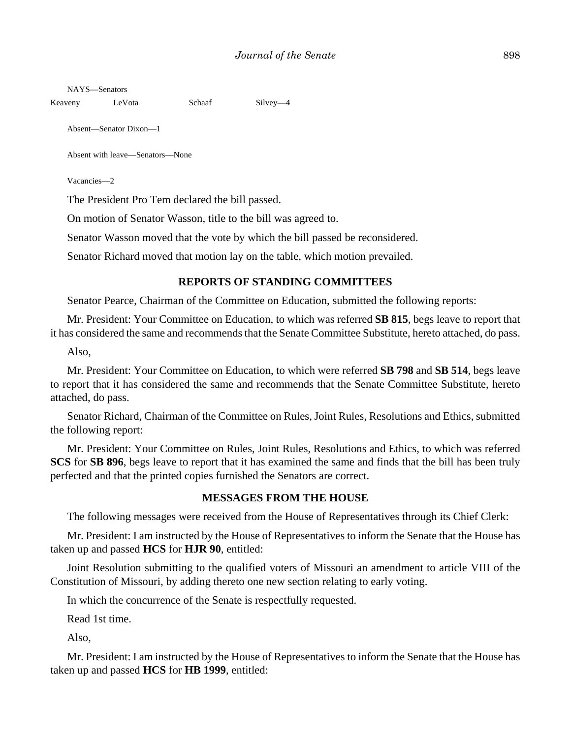NAYS—Senators

Keaveny LeVota Schaaf Silvey—4

Absent—Senator Dixon—1

Absent with leave—Senators—None

Vacancies—2

The President Pro Tem declared the bill passed.

On motion of Senator Wasson, title to the bill was agreed to.

Senator Wasson moved that the vote by which the bill passed be reconsidered.

Senator Richard moved that motion lay on the table, which motion prevailed.

#### **REPORTS OF STANDING COMMITTEES**

Senator Pearce, Chairman of the Committee on Education, submitted the following reports:

Mr. President: Your Committee on Education, to which was referred **SB 815**, begs leave to report that it has considered the same and recommends that the Senate Committee Substitute, hereto attached, do pass.

Also,

Mr. President: Your Committee on Education, to which were referred **SB 798** and **SB 514**, begs leave to report that it has considered the same and recommends that the Senate Committee Substitute, hereto attached, do pass.

Senator Richard, Chairman of the Committee on Rules, Joint Rules, Resolutions and Ethics, submitted the following report:

Mr. President: Your Committee on Rules, Joint Rules, Resolutions and Ethics, to which was referred **SCS** for **SB 896**, begs leave to report that it has examined the same and finds that the bill has been truly perfected and that the printed copies furnished the Senators are correct.

#### **MESSAGES FROM THE HOUSE**

The following messages were received from the House of Representatives through its Chief Clerk:

Mr. President: I am instructed by the House of Representatives to inform the Senate that the House has taken up and passed **HCS** for **HJR 90**, entitled:

Joint Resolution submitting to the qualified voters of Missouri an amendment to article VIII of the Constitution of Missouri, by adding thereto one new section relating to early voting.

In which the concurrence of the Senate is respectfully requested.

Read 1st time.

Also,

Mr. President: I am instructed by the House of Representatives to inform the Senate that the House has taken up and passed **HCS** for **HB 1999**, entitled: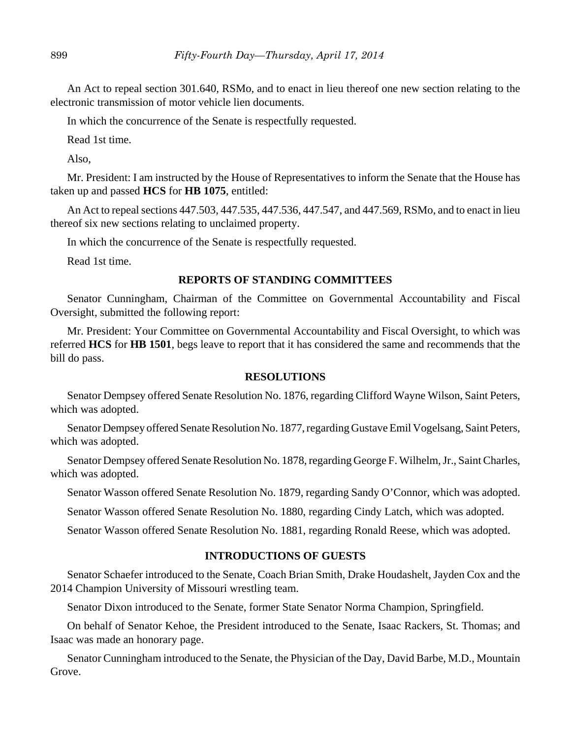An Act to repeal section 301.640, RSMo, and to enact in lieu thereof one new section relating to the electronic transmission of motor vehicle lien documents.

In which the concurrence of the Senate is respectfully requested.

Read 1st time.

Also,

Mr. President: I am instructed by the House of Representatives to inform the Senate that the House has taken up and passed **HCS** for **HB 1075**, entitled:

An Act to repeal sections 447.503, 447.535, 447.536, 447.547, and 447.569, RSMo, and to enact in lieu thereof six new sections relating to unclaimed property.

In which the concurrence of the Senate is respectfully requested.

Read 1st time.

## **REPORTS OF STANDING COMMITTEES**

Senator Cunningham, Chairman of the Committee on Governmental Accountability and Fiscal Oversight, submitted the following report:

Mr. President: Your Committee on Governmental Accountability and Fiscal Oversight, to which was referred **HCS** for **HB 1501**, begs leave to report that it has considered the same and recommends that the bill do pass.

#### **RESOLUTIONS**

Senator Dempsey offered Senate Resolution No. 1876, regarding Clifford Wayne Wilson, Saint Peters, which was adopted.

Senator Dempsey offered Senate Resolution No. 1877, regarding Gustave Emil Vogelsang, Saint Peters, which was adopted.

Senator Dempsey offered Senate Resolution No. 1878, regarding George F. Wilhelm, Jr., Saint Charles, which was adopted.

Senator Wasson offered Senate Resolution No. 1879, regarding Sandy O'Connor, which was adopted.

Senator Wasson offered Senate Resolution No. 1880, regarding Cindy Latch, which was adopted.

Senator Wasson offered Senate Resolution No. 1881, regarding Ronald Reese, which was adopted.

## **INTRODUCTIONS OF GUESTS**

Senator Schaefer introduced to the Senate, Coach Brian Smith, Drake Houdashelt, Jayden Cox and the 2014 Champion University of Missouri wrestling team.

Senator Dixon introduced to the Senate, former State Senator Norma Champion, Springfield.

On behalf of Senator Kehoe, the President introduced to the Senate, Isaac Rackers, St. Thomas; and Isaac was made an honorary page.

Senator Cunningham introduced to the Senate, the Physician of the Day, David Barbe, M.D., Mountain Grove.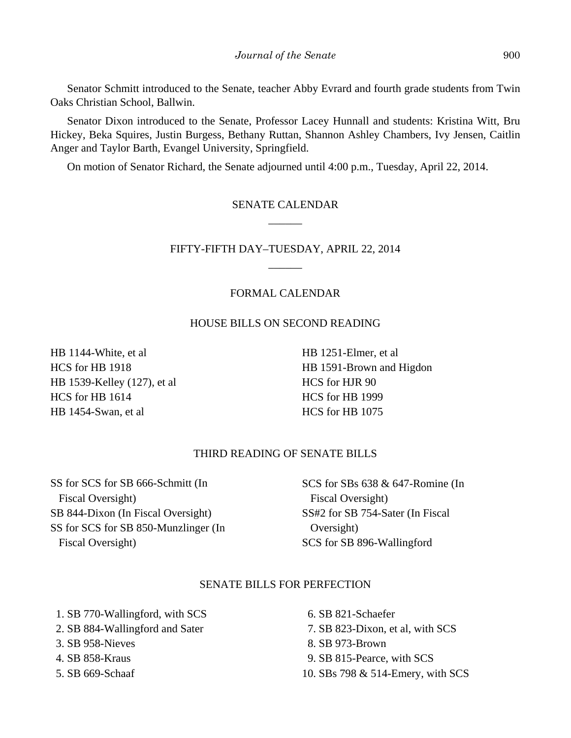Senator Schmitt introduced to the Senate, teacher Abby Evrard and fourth grade students from Twin Oaks Christian School, Ballwin.

Senator Dixon introduced to the Senate, Professor Lacey Hunnall and students: Kristina Witt, Bru Hickey, Beka Squires, Justin Burgess, Bethany Ruttan, Shannon Ashley Chambers, Ivy Jensen, Caitlin Anger and Taylor Barth, Evangel University, Springfield.

On motion of Senator Richard, the Senate adjourned until 4:00 p.m., Tuesday, April 22, 2014.

# SENATE CALENDAR \_\_\_\_\_\_

# FIFTY-FIFTH DAY–TUESDAY, APRIL 22, 2014  $\overline{\phantom{a}}$

## FORMAL CALENDAR

## HOUSE BILLS ON SECOND READING

HB 1144-White, et al HCS for HB 1918 HB 1539-Kelley (127), et al HCS for HB 1614 HB 1454-Swan, et al

HB 1251-Elmer, et al HB 1591-Brown and Higdon HCS for HJR 90 HCS for HB 1999 HCS for HB 1075

## THIRD READING OF SENATE BILLS

SS for SCS for SB 666-Schmitt (In Fiscal Oversight) SB 844-Dixon (In Fiscal Oversight) SS for SCS for SB 850-Munzlinger (In Fiscal Oversight)

SCS for SBs 638 & 647-Romine (In Fiscal Oversight) SS#2 for SB 754-Sater (In Fiscal Oversight) SCS for SB 896-Wallingford

## SENATE BILLS FOR PERFECTION

 1. SB 770-Wallingford, with SCS 2. SB 884-Wallingford and Sater 3. SB 958-Nieves 4. SB 858-Kraus

5. SB 669-Schaaf

 6. SB 821-Schaefer 7. SB 823-Dixon, et al, with SCS 8. SB 973-Brown 9. SB 815-Pearce, with SCS 10. SBs 798 & 514-Emery, with SCS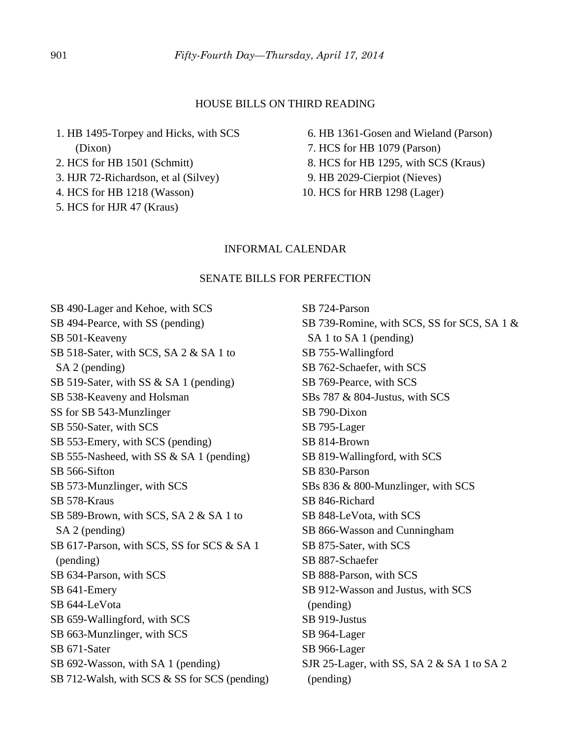#### HOUSE BILLS ON THIRD READING

 1. HB 1495-Torpey and Hicks, with SCS (Dixon)

2. HCS for HB 1501 (Schmitt)

- 3. HJR 72-Richardson, et al (Silvey)
- 4. HCS for HB 1218 (Wasson)
- 5. HCS for HJR 47 (Kraus)

 6. HB 1361-Gosen and Wieland (Parson) 7. HCS for HB 1079 (Parson) 8. HCS for HB 1295, with SCS (Kraus) 9. HB 2029-Cierpiot (Nieves) 10. HCS for HRB 1298 (Lager)

#### INFORMAL CALENDAR

#### SENATE BILLS FOR PERFECTION

SB 490-Lager and Kehoe, with SCS SB 494-Pearce, with SS (pending) SB 501-Keaveny SB 518-Sater, with SCS, SA 2 & SA 1 to SA 2 (pending) SB 519-Sater, with SS & SA 1 (pending) SB 538-Keaveny and Holsman SS for SB 543-Munzlinger SB 550-Sater, with SCS SB 553-Emery, with SCS (pending) SB 555-Nasheed, with SS & SA 1 (pending) SB 566-Sifton SB 573-Munzlinger, with SCS SB 578-Kraus SB 589-Brown, with SCS, SA 2 & SA 1 to SA 2 (pending) SB 617-Parson, with SCS, SS for SCS & SA 1 (pending) SB 634-Parson, with SCS SB 641-Emery SB 644-LeVota SB 659-Wallingford, with SCS SB 663-Munzlinger, with SCS SB 671-Sater SB 692-Wasson, with SA 1 (pending) SB 712-Walsh, with SCS & SS for SCS (pending)

SB 724-Parson SB 739-Romine, with SCS, SS for SCS, SA 1 & SA 1 to SA 1 (pending) SB 755-Wallingford SB 762-Schaefer, with SCS SB 769-Pearce, with SCS SBs 787 & 804-Justus, with SCS SB 790-Dixon SB 795-Lager SB 814-Brown SB 819-Wallingford, with SCS SB 830-Parson SBs 836 & 800-Munzlinger, with SCS SB 846-Richard SB 848-LeVota, with SCS SB 866-Wasson and Cunningham SB 875-Sater, with SCS SB 887-Schaefer SB 888-Parson, with SCS SB 912-Wasson and Justus, with SCS (pending) SB 919-Justus SB 964-Lager SB 966-Lager SJR 25-Lager, with SS, SA 2 & SA 1 to SA 2 (pending)